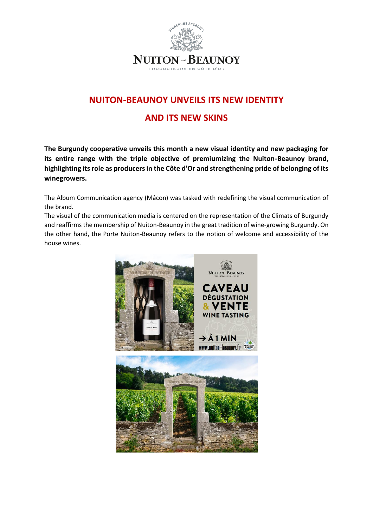

## **NUITON-BEAUNOY UNVEILS ITS NEW IDENTITY**

## **AND ITS NEW SKINS**

**The Burgundy cooperative unveils this month a new visual identity and new packaging for its entire range with the triple objective of premiumizing the Nuiton-Beaunoy brand, highlighting its role as producers in the Côte d'Or and strengthening pride of belonging of its winegrowers.**

The Album Communication agency (Mâcon) was tasked with redefining the visual communication of the brand.

The visual of the communication media is centered on the representation of the Climats of Burgundy and reaffirms the membership of Nuiton-Beaunoy in the great tradition of wine-growing Burgundy. On the other hand, the Porte Nuiton-Beaunoy refers to the notion of welcome and accessibility of the house wines.